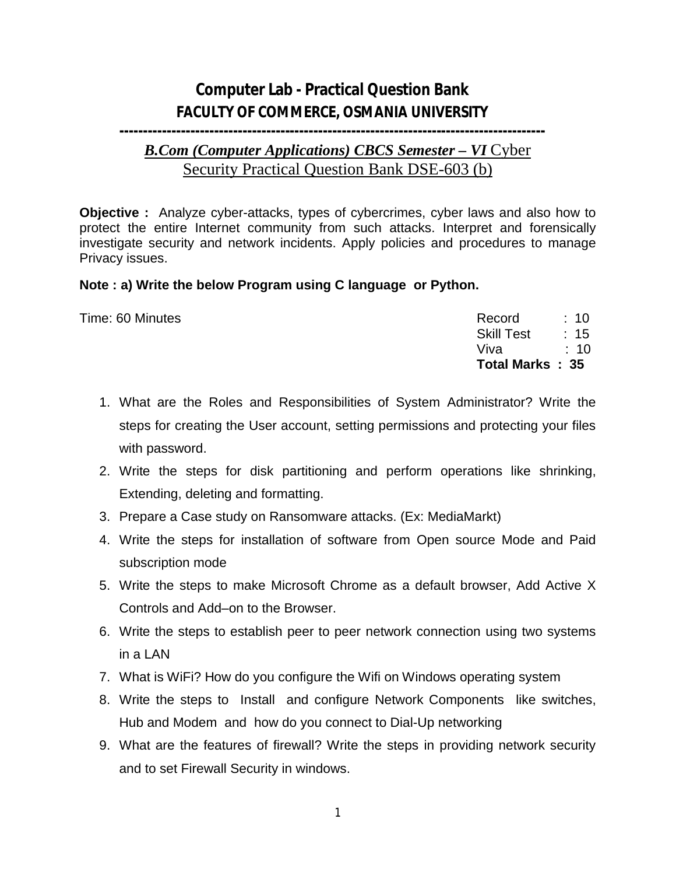## **Computer Lab - Practical Question Bank FACULTY OF COMMERCE, OSMANIA UNIVERSITY**

## **------------------------------------------------------------------------------------------**

## *B.Com (Computer Applications) CBCS Semester – VI* Cyber Security Practical Question Bank DSE-603 (b)

**Objective :** Analyze cyber-attacks, types of cybercrimes, cyber laws and also how to protect the entire Internet community from such attacks. Interpret and forensically investigate security and network incidents. Apply policies and procedures to manage Privacy issues.

## **Note : a) Write the below Program using C language or Python.**

|                  | <b>Total Marks: 35</b> |                 |
|------------------|------------------------|-----------------|
|                  | Vival                  | : 10            |
|                  | <b>Skill Test</b>      | : 15            |
| Time: 60 Minutes | Record                 | $\therefore$ 10 |
|                  |                        |                 |

- 1. What are the Roles and Responsibilities of System Administrator? Write the steps for creating the User account, setting permissions and protecting your files with password.
- 2. Write the steps for disk partitioning and perform operations like shrinking, Extending, deleting and formatting.
- 3. Prepare a Case study on Ransomware attacks. (Ex: MediaMarkt)
- 4. Write the steps for installation of software from Open source Mode and Paid subscription mode
- 5. Write the steps to make Microsoft Chrome as a default browser, Add Active X Controls and Add–on to the Browser.
- 6. Write the steps to establish peer to peer network connection using two systems in a LAN
- 7. What is WiFi? How do you configure the Wifi on Windows operating system
- 8. Write the steps to Install and configure Network Components like switches, Hub and Modem and how do you connect to Dial-Up networking
- 9. What are the features of firewall? Write the steps in providing network security and to set Firewall Security in windows.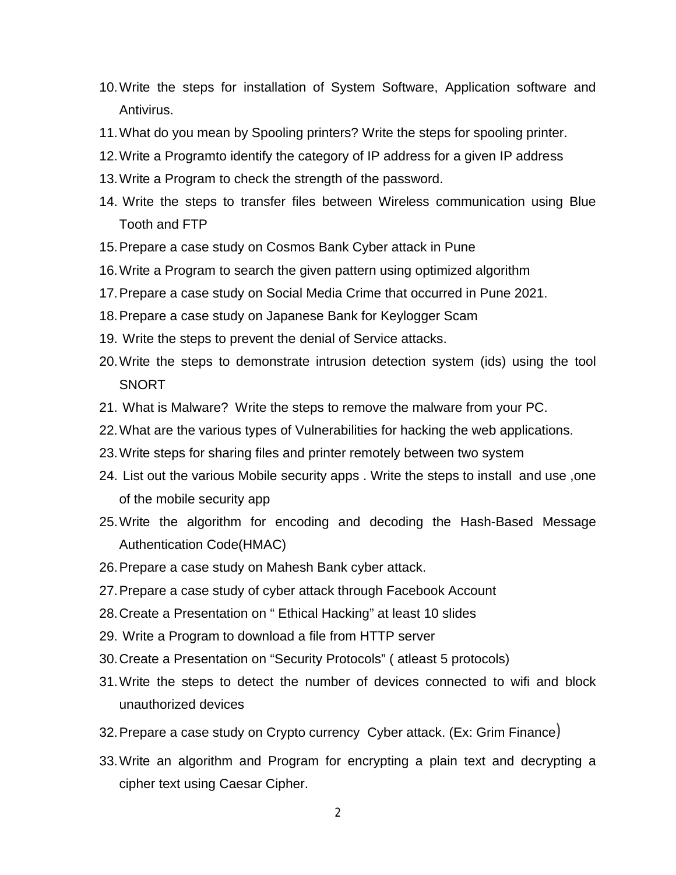- 10.Write the steps for installation of System Software, Application software and Antivirus.
- 11.What do you mean by Spooling printers? Write the steps for spooling printer.
- 12.Write a Programto identify the category of IP address for a given IP address
- 13.Write a Program to check the strength of the password.
- 14. Write the steps to transfer files between Wireless communication using Blue Tooth and FTP
- 15.Prepare a case study on Cosmos Bank Cyber attack in Pune
- 16.Write a Program to search the given pattern using optimized algorithm
- 17.Prepare a case study on Social Media Crime that occurred in Pune 2021.
- 18.Prepare a case study on Japanese Bank for Keylogger Scam
- 19. Write the steps to prevent the denial of Service attacks.
- 20.Write the steps to demonstrate intrusion detection system (ids) using the tool SNORT
- 21. What is Malware? Write the steps to remove the malware from your PC.
- 22.What are the various types of Vulnerabilities for hacking the web applications.
- 23.Write steps for sharing files and printer remotely between two system
- 24. List out the various Mobile security apps . Write the steps to install and use ,one of the mobile security app
- 25.Write the algorithm for encoding and decoding the Hash-Based Message Authentication Code(HMAC)
- 26.Prepare a case study on Mahesh Bank cyber attack.
- 27.Prepare a case study of cyber attack through Facebook Account
- 28.Create a Presentation on " Ethical Hacking" at least 10 slides
- 29. Write a Program to download a file from HTTP server
- 30.Create a Presentation on "Security Protocols" ( atleast 5 protocols)
- 31.Write the steps to detect the number of devices connected to wifi and block unauthorized devices
- 32.Prepare a case study on Crypto currency Cyber attack. (Ex: Grim Finance)
- 33.Write an algorithm and Program for encrypting a plain text and decrypting a cipher text using Caesar Cipher.